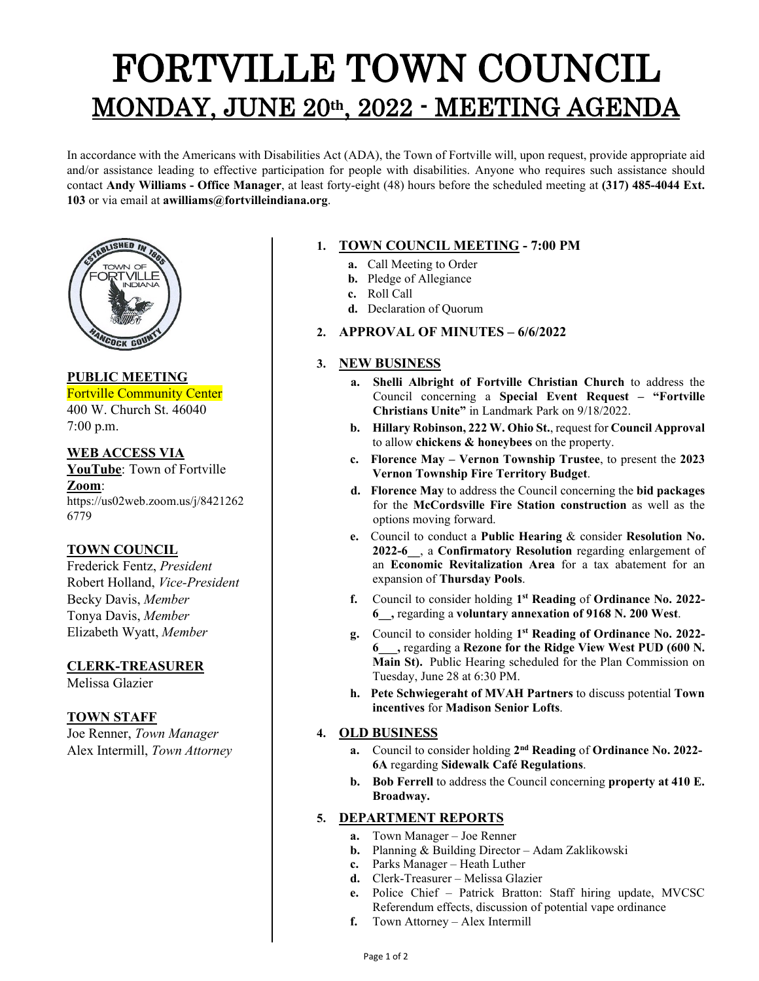# FORTVILLE TOWN COUNCIL MONDAY, JUNE 20th, 2022 - MEETING AGENDA

In accordance with the Americans with Disabilities Act (ADA), the Town of Fortville will, upon request, provide appropriate aid and/or assistance leading to effective participation for people with disabilities. Anyone who requires such assistance should contact **Andy Williams - Office Manager**, at least forty-eight (48) hours before the scheduled meeting at **(317) 485-4044 Ext. 103** or via email at **awilliams@fortvilleindiana.org**.



**PUBLIC MEETING** Fortville Community Center 400 W. Church St. 46040

7:00 p.m.

**WEB ACCESS VIA YouTube**: Town of Fortville **Zoom**: https://us02web.zoom.us/j/8421262 6779

#### **TOWN COUNCIL**

Frederick Fentz, *President* Robert Holland, *Vice-President* Becky Davis, *Member* Tonya Davis, *Member* Elizabeth Wyatt, *Member*

#### **CLERK-TREASURER**

Melissa Glazier

#### **TOWN STAFF**

Joe Renner, *Town Manager* Alex Intermill, *Town Attorney*

## **1. TOWN COUNCIL MEETING - 7:00 PM**

- **a.** Call Meeting to Order
- **b.** Pledge of Allegiance
- **c.** Roll Call
- **d.** Declaration of Quorum
- **2. APPROVAL OF MINUTES – 6/6/2022**

### **3. NEW BUSINESS**

- **a. Shelli Albright of Fortville Christian Church** to address the Council concerning a **Special Event Request – "Fortville Christians Unite"** in Landmark Park on 9/18/2022.
- **b. Hillary Robinson, 222 W. Ohio St.**, request for **Council Approval**  to allow **chickens & honeybees** on the property.
- **c. Florence May – Vernon Township Trustee**, to present the **2023 Vernon Township Fire Territory Budget**.
- **d. Florence May** to address the Council concerning the **bid packages** for the **McCordsville Fire Station construction** as well as the options moving forward.
- **e.** Council to conduct a **Public Hearing** & consider **Resolution No. 2022-6\_\_**, a **Confirmatory Resolution** regarding enlargement of an **Economic Revitalization Area** for a tax abatement for an expansion of **Thursday Pools**.
- **f.** Council to consider holding **1st Reading** of **Ordinance No. 2022- 6\_\_,** regarding a **voluntary annexation of 9168 N. 200 West**.
- **g.** Council to consider holding **1st Reading of Ordinance No. 2022- 6\_\_\_,** regarding a **Rezone for the Ridge View West PUD (600 N. Main St).** Public Hearing scheduled for the Plan Commission on Tuesday, June 28 at 6:30 PM.
- **h. Pete Schwiegeraht of MVAH Partners** to discuss potential **Town incentives** for **Madison Senior Lofts**.

### **4. OLD BUSINESS**

- **a.** Council to consider holding **2nd Reading** of **Ordinance No. 2022- 6A** regarding **Sidewalk Café Regulations**.
- **b. Bob Ferrell** to address the Council concerning **property at 410 E. Broadway.**

### **5. DEPARTMENT REPORTS**

- **a.** Town Manager Joe Renner
- **b.** Planning & Building Director Adam Zaklikowski
- **c.** Parks Manager Heath Luther
- **d.** Clerk-Treasurer Melissa Glazier
- **e.** Police Chief Patrick Bratton: Staff hiring update, MVCSC Referendum effects, discussion of potential vape ordinance
- **f.** Town Attorney Alex Intermill